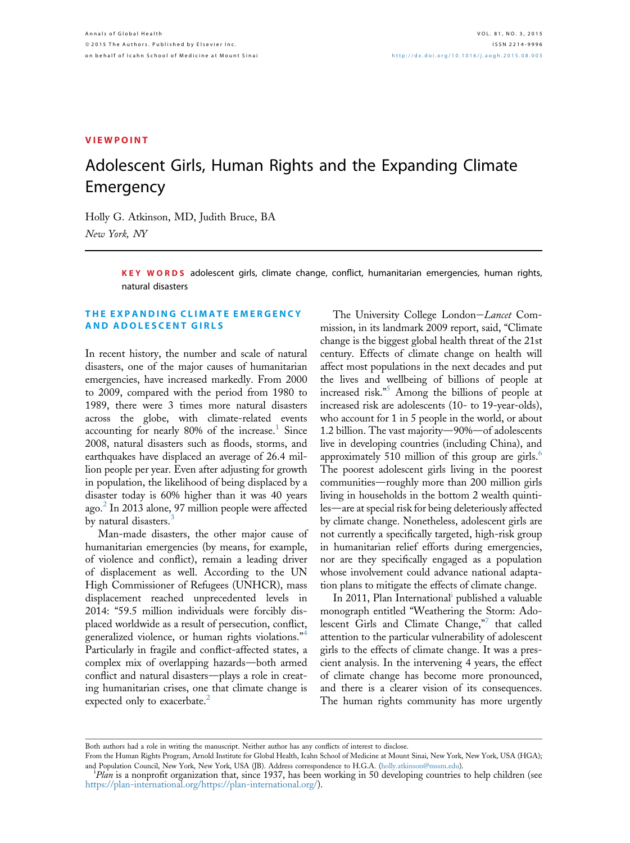#### VIEWPOINT

# Adolescent Girls, Human Rights and the Expanding Climate Emergency

Holly G. Atkinson, MD, Judith Bruce, BA New York, NY

> KEY WORDS adolescent girls, climate change, conflict, humanitarian emergencies, human rights, natural disasters

## THE EXPANDING CLIMATE EMERGENCY AND ADOLESCENT GIRLS

In recent history, the number and scale of natural disasters, one of the major causes of humanitarian emergencies, have increased markedly. From 2000 to 2009, compared with the period from 1980 to 1989, there were 3 times more natural disasters across the globe, with climate-related events accounting for nearly  $80\%$  of the increase.<sup>[1](#page-5-0)</sup> Since 2008, natural disasters such as floods, storms, and earthquakes have displaced an average of 26.4 million people per year. Even after adjusting for growth in population, the likelihood of being displaced by a disaster today is 60% higher than it was 40 years ago. $^{2}$  $^{2}$  $^{2}$  In 2013 alone, 97 million people were affected by natural disasters.

Man-made disasters, the other major cause of humanitarian emergencies (by means, for example, of violence and conflict), remain a leading driver of displacement as well. According to the UN High Commissioner of Refugees (UNHCR), mass displacement reached unprecedented levels in 2014: "59.5 million individuals were forcibly displaced worldwide as a result of persecution, conflict, eneralized violence, or human rights violations."<sup>[4](#page-5-0)</sup> Particularly in fragile and conflict-affected states, a complex mix of overlapping hazards—both armed conflict and natural disasters-plays a role in creating humanitarian crises, one that climate change is expected only to exacerbate.<sup>[2](#page-5-0)</sup>

The University College London-Lancet Commission, in its landmark 2009 report, said, "Climate change is the biggest global health threat of the 21st century. Effects of climate change on health will affect most populations in the next decades and put the lives and wellbeing of billions of people at increased risk." [5](#page-5-0) Among the billions of people at increased risk are adolescents (10- to 19-year-olds), who account for 1 in 5 people in the world, or about 1.2 billion. The vast majority $-90\%$  of adolescents live in developing countries (including China), and approximately 510 million of this group are girls. $<sup>6</sup>$  $<sup>6</sup>$  $<sup>6</sup>$ </sup> The poorest adolescent girls living in the poorest communities—roughly more than 200 million girls living in households in the bottom 2 wealth quintiles—are at special risk for being deleteriously affected by climate change. Nonetheless, adolescent girls are not currently a specifically targeted, high-risk group in humanitarian relief efforts during emergencies, nor are they specifically engaged as a population whose involvement could advance national adaptation plans to mitigate the effects of climate change.

In 2011, Plan International<sup>i</sup> published a valuable monograph entitled "Weathering the Storm: Ado-lescent Girls and Climate Change,"<sup>[7](#page-5-0)</sup> that called attention to the particular vulnerability of adolescent girls to the effects of climate change. It was a prescient analysis. In the intervening 4 years, the effect of climate change has become more pronounced, and there is a clearer vision of its consequences. The human rights community has more urgently

Both authors had a role in writing the manuscript. Neither author has any conflicts of interest to disclose.

From the Human Rights Program, Arnold Institute for Global Health, Icahn School of Medicine at Mount Sinai, New York, New York, USA (HGA); and Population Council, New York, New York, USA (JB). Address correspondence to H.G.A. [\(holly.atkinson@mssm.edu\)](mailto:holly.atkinson@mssm.edu). <sup>i</sup>

Plan is a nonprofit organization that, since 1937, has been working in 50 developing countries to help children (see [https://plan-international.org/https://plan-international.org/\)](https://plan-international.org/).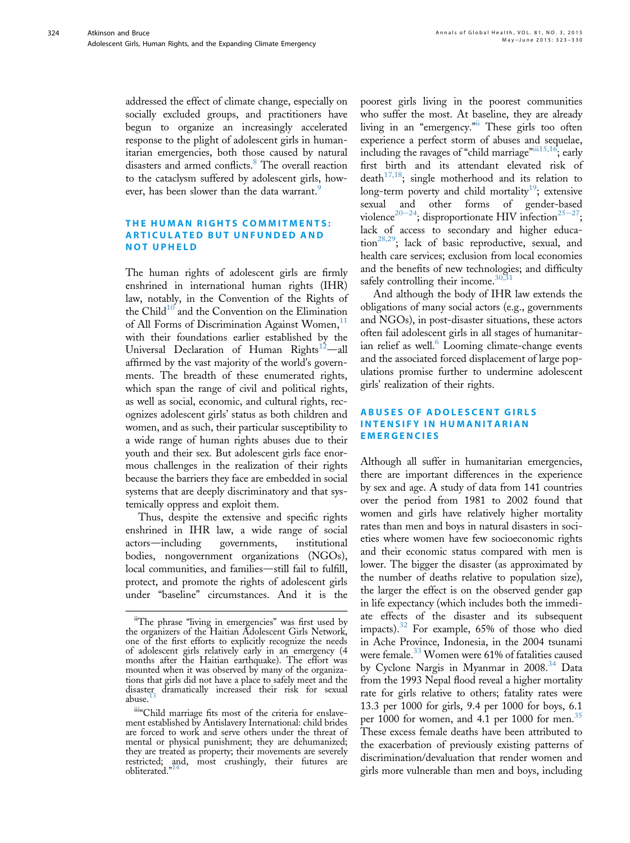addressed the effect of climate change, especially on socially excluded groups, and practitioners have begun to organize an increasingly accelerated response to the plight of adolescent girls in humanitarian emergencies, both those caused by natural disasters and armed conflicts.<sup>[8](#page-5-0)</sup> The overall reaction to the cataclysm suffered by adolescent girls, how-ever, has been slower than the data warrant.<sup>[9](#page-5-0)</sup>

## THE HUMAN RIGHTS COMMITMENTS: ARTICULATED BUT UNFUNDED AND NOT UPHELD

The human rights of adolescent girls are firmly enshrined in international human rights (IHR) law, notably, in the Convention of the Rights of the Child<sup>[10](#page-5-0)</sup> and the Convention on the Elimination of All Forms of Discrimination Against Women,<sup>[11](#page-5-0)</sup> with their foundations earlier established by the Universal Declaration of Human Rights<sup>[12](#page-5-0)</sup>—all affirmed by the vast majority of the world's governments. The breadth of these enumerated rights, which span the range of civil and political rights, as well as social, economic, and cultural rights, recognizes adolescent girls' status as both children and women, and as such, their particular susceptibility to a wide range of human rights abuses due to their youth and their sex. But adolescent girls face enormous challenges in the realization of their rights because the barriers they face are embedded in social systems that are deeply discriminatory and that systemically oppress and exploit them.

Thus, despite the extensive and specific rights enshrined in IHR law, a wide range of social actors—including governments, institutional bodies, nongovernment organizations (NGOs), local communities, and families-still fail to fulfill, protect, and promote the rights of adolescent girls under "baseline" circumstances. And it is the poorest girls living in the poorest communities who suffer the most. At baseline, they are already living in an "emergency." These girls too often experience a perfect storm of abuses and sequelae, including the ravages of "child marriage"iii[15,16;](#page-5-0) early first birth and its attendant elevated risk of  $death^{17,18}$  $death^{17,18}$  $death^{17,18}$ ; single motherhood and its relation to long-term poverty and child mortality<sup>19</sup>; extensive sexual and other forms of gender-based violence<sup>[20](#page-6-0)-[24](#page-6-0)</sup>; disproportionate HIV infection<sup>[25](#page-6-0)-[27](#page-6-0)</sup>; lack of access to secondary and higher educa-tion<sup>[28,29](#page-6-0)</sup>; lack of basic reproductive, sexual, and health care services; exclusion from local economies and the benefits of new technologies; and difficulty safely controlling their income. $30,31$ 

And although the body of IHR law extends the obligations of many social actors (e.g., governments and NGOs), in post-disaster situations, these actors often fail adolescent girls in all stages of humanitarian relief as well. $6$  Looming climate-change events and the associated forced displacement of large populations promise further to undermine adolescent girls' realization of their rights.

#### ABUSES OF ADOLESCENT GIRLS INTENSIFY IN HUMANITARIAN EMERGENCIES

Although all suffer in humanitarian emergencies, there are important differences in the experience by sex and age. A study of data from 141 countries over the period from 1981 to 2002 found that women and girls have relatively higher mortality rates than men and boys in natural disasters in societies where women have few socioeconomic rights and their economic status compared with men is lower. The bigger the disaster (as approximated by the number of deaths relative to population size), the larger the effect is on the observed gender gap in life expectancy (which includes both the immediate effects of the disaster and its subsequent impacts).[32](#page-6-0) For example, 65% of those who died in Ache Province, Indonesia, in the 2004 tsunami were female.<sup>[33](#page-6-0)</sup> Women were 61% of fatalities caused by Cyclone Nargis in Myanmar in 2008.<sup>[34](#page-6-0)</sup> Data from the 1993 Nepal flood reveal a higher mortality rate for girls relative to others; fatality rates were 13.3 per 1000 for girls, 9.4 per 1000 for boys, 6.1 per 1000 for women, and 4.1 per 1000 for men.<sup>[35](#page-6-0)</sup> These excess female deaths have been attributed to the exacerbation of previously existing patterns of discrimination/devaluation that render women and girls more vulnerable than men and boys, including

iiThe phrase "living in emergencies" was first used by the organizers of the Haitian Adolescent Girls Network, one of the first efforts to explicitly recognize the needs of adolescent girls relatively early in an emergency (4 months after the Haitian earthquake). The effort was mounted when it was observed by many of the organizations that girls did not have a place to safely meet and the disaster dramatically increased their risk for sexual abuse.

iii"Child marriage fits most of the criteria for enslavement established by Antislavery International: child brides are forced to work and serve others under the threat of mental or physical punishment; they are dehumanized; they are treated as property; their movements are severely restricted; and, most crushingly, their futures are obliterated." [14](#page-5-0)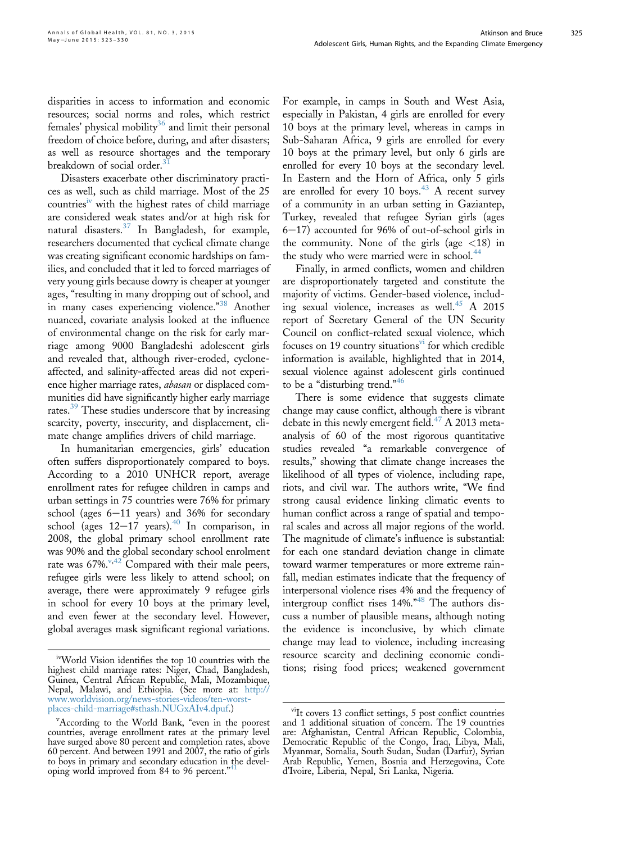disparities in access to information and economic resources; social norms and roles, which restrict females' physical mobility<sup>36</sup> and limit their personal freedom of choice before, during, and after disasters; as well as resource shortages and the temporary breakdown of social order.<sup>3</sup>

Disasters exacerbate other discriminatory practices as well, such as child marriage. Most of the 25 countries<sup>iv</sup> with the highest rates of child marriage are considered weak states and/or at high risk for natural disasters.[37](#page-6-0) In Bangladesh, for example, researchers documented that cyclical climate change was creating significant economic hardships on families, and concluded that it led to forced marriages of very young girls because dowry is cheaper at younger ages, "resulting in many dropping out of school, and in many cases experiencing violence."<sup>[38](#page-6-0)</sup> Another nuanced, covariate analysis looked at the influence of environmental change on the risk for early marriage among 9000 Bangladeshi adolescent girls and revealed that, although river-eroded, cycloneaffected, and salinity-affected areas did not experience higher marriage rates, *abasan* or displaced communities did have significantly higher early marriage rates.<sup>[39](#page-6-0)</sup> These studies underscore that by increasing scarcity, poverty, insecurity, and displacement, climate change amplifies drivers of child marriage.

In humanitarian emergencies, girls' education often suffers disproportionately compared to boys. According to a 2010 UNHCR report, average enrollment rates for refugee children in camps and urban settings in 75 countries were 76% for primary school (ages  $6-11$  years) and 36% for secondary school (ages  $12-17$  years).<sup>[40](#page-6-0)</sup> In comparison, in 2008, the global primary school enrollment rate was 90% and the global secondary school enrolment rate was  $67\%$ . <sup>v,[42](#page-6-0)</sup> Compared with their male peers, refugee girls were less likely to attend school; on average, there were approximately 9 refugee girls in school for every 10 boys at the primary level, and even fewer at the secondary level. However, global averages mask significant regional variations.

For example, in camps in South and West Asia, especially in Pakistan, 4 girls are enrolled for every 10 boys at the primary level, whereas in camps in Sub-Saharan Africa, 9 girls are enrolled for every 10 boys at the primary level, but only 6 girls are enrolled for every 10 boys at the secondary level. In Eastern and the Horn of Africa, only 5 girls are enrolled for every 10 boys. $43$  A recent survey of a community in an urban setting in Gaziantep, Turkey, revealed that refugee Syrian girls (ages  $6-17$ ) accounted for 96% of out-of-school girls in the community. None of the girls (age  $\langle 18 \rangle$  in the study who were married were in school.<sup>[44](#page-6-0)</sup>

Finally, in armed conflicts, women and children are disproportionately targeted and constitute the majority of victims. Gender-based violence, includ-ing sexual violence, increases as well.<sup>[45](#page-6-0)</sup> A 2015 report of Secretary General of the UN Security Council on conflict-related sexual violence, which focuses on 19 country situations<sup>vi</sup> for which credible information is available, highlighted that in 2014, sexual violence against adolescent girls continued to be a "disturbing trend."<sup>[46](#page-6-0)</sup>

There is some evidence that suggests climate change may cause conflict, although there is vibrant debate in this newly emergent field.<sup>[47](#page-6-0)</sup> A 2013 metaanalysis of 60 of the most rigorous quantitative studies revealed "a remarkable convergence of results," showing that climate change increases the likelihood of all types of violence, including rape, riots, and civil war. The authors write, "We find strong causal evidence linking climatic events to human conflict across a range of spatial and temporal scales and across all major regions of the world. The magnitude of climate's influence is substantial: for each one standard deviation change in climate toward warmer temperatures or more extreme rainfall, median estimates indicate that the frequency of interpersonal violence rises 4% and the frequency of intergroup conflict rises 14%." [48](#page-6-0) The authors discuss a number of plausible means, although noting the evidence is inconclusive, by which climate change may lead to violence, including increasing resource scarcity and declining economic conditions; rising food prices; weakened government

ivWorld Vision identifies the top 10 countries with the highest child marriage rates: Niger, Chad, Bangladesh, Guinea, Central African Republic, Mali, Mozambique, Nepal, Malawi, and Ethiopia. (See more at: [http://](http://www.worldvision.org/news-stories-videos/ten-worst-places-child-marriage#sthash.NUGxAIv4.dpuf) [www.worldvision.org/news-stories-videos/ten-worst](http://www.worldvision.org/news-stories-videos/ten-worst-places-child-marriage#sthash.NUGxAIv4.dpuf)[places-child-marriage#sthash.NUGxAIv4.dpuf](http://www.worldvision.org/news-stories-videos/ten-worst-places-child-marriage#sthash.NUGxAIv4.dpuf).)

v According to the World Bank, "even in the poorest countries, average enrollment rates at the primary level have surged above 80 percent and completion rates, above 60 percent. And between 1991 and 2007, the ratio of girls to boys in primary and secondary education in the devel-<br>oping world improved from 84 to 96 percent <sup>n[41](#page-6-0)</sup> oping world improved from 84 to 96 percent."

<sup>&</sup>lt;sup>vi</sup>It covers 13 conflict settings, 5 post conflict countries and 1 additional situation of concern. The 19 countries are: Afghanistan, Central African Republic, Colombia, Democratic Republic of the Congo, Iraq, Libya, Mali, Myanmar, Somalia, South Sudan, Sudan (Darfur), Syrian Arab Republic, Yemen, Bosnia and Herzegovina, Cote d'Ivoire, Liberia, Nepal, Sri Lanka, Nigeria.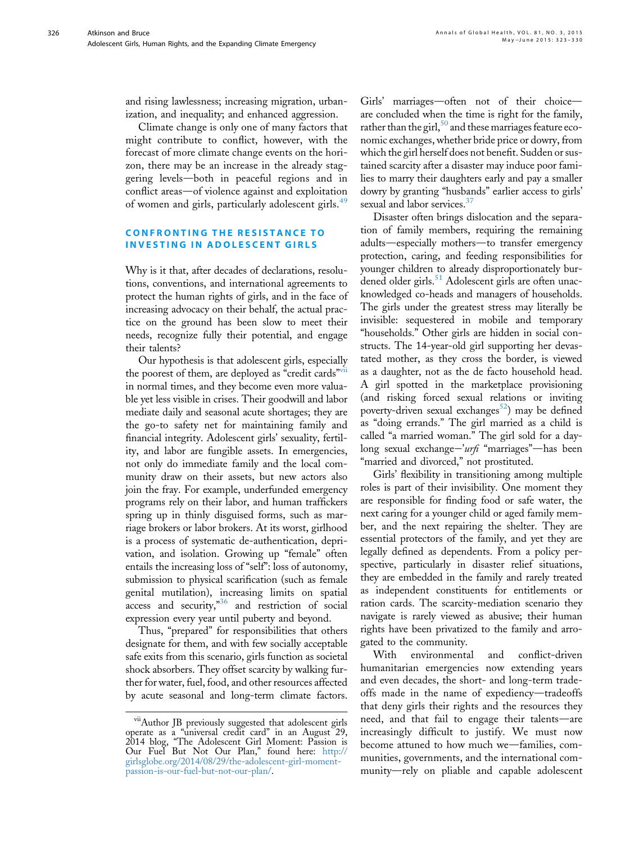and rising lawlessness; increasing migration, urbanization, and inequality; and enhanced aggression.

Climate change is only one of many factors that might contribute to conflict, however, with the forecast of more climate change events on the horizon, there may be an increase in the already staggering levels—both in peaceful regions and in conflict areas-of violence against and exploitation of women and girls, particularly adolescent girls.<sup>[49](#page-6-0)</sup>

# CONFRONTING THE RESISTANCE TO INVESTING IN ADOLESCENT GIRLS

Why is it that, after decades of declarations, resolutions, conventions, and international agreements to protect the human rights of girls, and in the face of increasing advocacy on their behalf, the actual practice on the ground has been slow to meet their needs, recognize fully their potential, and engage their talents?

Our hypothesis is that adolescent girls, especially the poorest of them, are deployed as "credit cards"vii in normal times, and they become even more valuable yet less visible in crises. Their goodwill and labor mediate daily and seasonal acute shortages; they are the go-to safety net for maintaining family and financial integrity. Adolescent girls' sexuality, fertility, and labor are fungible assets. In emergencies, not only do immediate family and the local community draw on their assets, but new actors also join the fray. For example, underfunded emergency programs rely on their labor, and human traffickers spring up in thinly disguised forms, such as marriage brokers or labor brokers. At its worst, girlhood is a process of systematic de-authentication, deprivation, and isolation. Growing up "female" often entails the increasing loss of "self": loss of autonomy, submission to physical scarification (such as female genital mutilation), increasing limits on spatial access and security,"<sup>[36](#page-6-0)</sup> and restriction of social expression every year until puberty and beyond.

Thus, "prepared" for responsibilities that others designate for them, and with few socially acceptable safe exits from this scenario, girls function as societal shock absorbers. They offset scarcity by walking further for water, fuel, food, and other resources affected by acute seasonal and long-term climate factors.

Girls' marriages-often not of their choiceare concluded when the time is right for the family, rather than the girl, $50$  and these marriages feature economic exchanges, whether bride price or dowry, from which the girl herself does not benefit. Sudden or sustained scarcity after a disaster may induce poor families to marry their daughters early and pay a smaller dowry by granting "husbands" earlier access to girls' sexual and labor services.<sup>[37](#page-6-0)</sup>

Disaster often brings dislocation and the separation of family members, requiring the remaining adults-especially mothers-to transfer emergency protection, caring, and feeding responsibilities for younger children to already disproportionately bur-dened older girls.<sup>[51](#page-6-0)</sup> Adolescent girls are often unacknowledged co-heads and managers of households. The girls under the greatest stress may literally be invisible: sequestered in mobile and temporary "households." Other girls are hidden in social constructs. The 14-year-old girl supporting her devastated mother, as they cross the border, is viewed as a daughter, not as the de facto household head. A girl spotted in the marketplace provisioning (and risking forced sexual relations or inviting poverty-driven sexual exchanges<sup>[52](#page-7-0)</sup>) may be defined as "doing errands." The girl married as a child is called "a married woman." The girl sold for a daylong sexual exchange $\frac{v}{m}$  "marriages"—has been "married and divorced," not prostituted.

Girls' flexibility in transitioning among multiple roles is part of their invisibility. One moment they are responsible for finding food or safe water, the next caring for a younger child or aged family member, and the next repairing the shelter. They are essential protectors of the family, and yet they are legally defined as dependents. From a policy perspective, particularly in disaster relief situations, they are embedded in the family and rarely treated as independent constituents for entitlements or ration cards. The scarcity-mediation scenario they navigate is rarely viewed as abusive; their human rights have been privatized to the family and arrogated to the community.

With environmental and conflict-driven humanitarian emergencies now extending years and even decades, the short- and long-term tradeoffs made in the name of expediency-tradeoffs that deny girls their rights and the resources they need, and that fail to engage their talents-are increasingly difficult to justify. We must now become attuned to how much we-families, communities, governments, and the international community-rely on pliable and capable adolescent

viiAuthor JB previously suggested that adolescent girls operate as a "universal credit card" in an August 29, 2014 blog, "The Adolescent Girl Moment: Passion is Our Fuel But Not Our Plan," found here: [http://](http://girlsglobe.org/2014/08/29/the-adolescent-girl-moment-passion-is-our-fuel-but-not-our-plan/) [girlsglobe.org/2014/08/29/the-adolescent-girl-moment](http://girlsglobe.org/2014/08/29/the-adolescent-girl-moment-passion-is-our-fuel-but-not-our-plan/)[passion-is-our-fuel-but-not-our-plan/](http://girlsglobe.org/2014/08/29/the-adolescent-girl-moment-passion-is-our-fuel-but-not-our-plan/).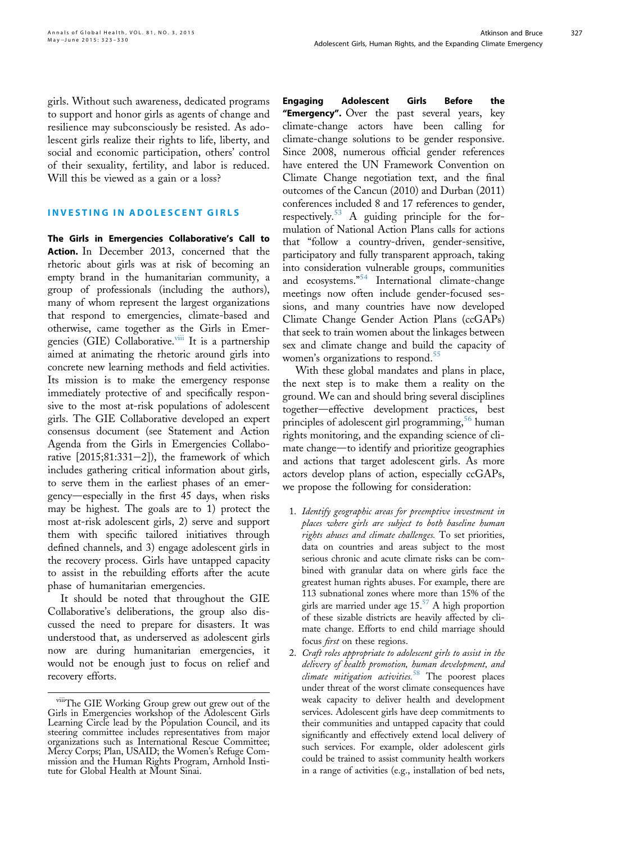girls. Without such awareness, dedicated programs to support and honor girls as agents of change and resilience may subconsciously be resisted. As adolescent girls realize their rights to life, liberty, and social and economic participation, others' control of their sexuality, fertility, and labor is reduced. Will this be viewed as a gain or a loss?

#### INVESTING IN ADOLESCENT GIRLS

The Girls in Emergencies Collaborative's Call to Action. In December 2013, concerned that the rhetoric about girls was at risk of becoming an empty brand in the humanitarian community, a group of professionals (including the authors), many of whom represent the largest organizations that respond to emergencies, climate-based and otherwise, came together as the Girls in Emergencies (GIE) Collaborative.<sup>viii</sup> It is a partnership aimed at animating the rhetoric around girls into concrete new learning methods and field activities. Its mission is to make the emergency response immediately protective of and specifically responsive to the most at-risk populations of adolescent girls. The GIE Collaborative developed an expert consensus document (see Statement and Action Agenda from the Girls in Emergencies Collaborative  $[2015;81:331-2]$ , the framework of which includes gathering critical information about girls, to serve them in the earliest phases of an emergency-especially in the first 45 days, when risks may be highest. The goals are to 1) protect the most at-risk adolescent girls, 2) serve and support them with specific tailored initiatives through defined channels, and 3) engage adolescent girls in the recovery process. Girls have untapped capacity to assist in the rebuilding efforts after the acute phase of humanitarian emergencies.

It should be noted that throughout the GIE Collaborative's deliberations, the group also discussed the need to prepare for disasters. It was understood that, as underserved as adolescent girls now are during humanitarian emergencies, it would not be enough just to focus on relief and recovery efforts.

Engaging Adolescent Girls Before the "**Emergency".** Over the past several years, key climate-change actors have been calling for climate-change solutions to be gender responsive. Since 2008, numerous official gender references have entered the UN Framework Convention on Climate Change negotiation text, and the final outcomes of the Cancun (2010) and Durban (2011) conferences included 8 and 17 references to gender, respectively.<sup>[53](#page-7-0)</sup> A guiding principle for the formulation of National Action Plans calls for actions that "follow a country-driven, gender-sensitive, participatory and fully transparent approach, taking into consideration vulnerable groups, communities and ecosystems."<sup>[54](#page-7-0)</sup> International climate-change meetings now often include gender-focused sessions, and many countries have now developed Climate Change Gender Action Plans (ccGAPs) that seek to train women about the linkages between sex and climate change and build the capacity of women's organizations to respond.<sup>[55](#page-7-0)</sup>

With these global mandates and plans in place, the next step is to make them a reality on the ground. We can and should bring several disciplines together-effective development practices, best principles of adolescent girl programming,<sup>[56](#page-7-0)</sup> human rights monitoring, and the expanding science of climate change-to identify and prioritize geographies and actions that target adolescent girls. As more actors develop plans of action, especially ccGAPs, we propose the following for consideration:

- 1. Identify geographic areas for preemptive investment in places where girls are subject to both baseline human rights abuses and climate challenges. To set priorities, data on countries and areas subject to the most serious chronic and acute climate risks can be combined with granular data on where girls face the greatest human rights abuses. For example, there are 113 subnational zones where more than 15% of the girls are married under age  $15<sup>57</sup>$  $15<sup>57</sup>$  $15<sup>57</sup>$  A high proportion of these sizable districts are heavily affected by climate change. Efforts to end child marriage should focus *first* on these regions.
- 2. Craft roles appropriate to adolescent girls to assist in the delivery of health promotion, human development, and  $climate$  mitigation activities.<sup>[58](#page-7-0)</sup> The poorest places under threat of the worst climate consequences have weak capacity to deliver health and development services. Adolescent girls have deep commitments to their communities and untapped capacity that could significantly and effectively extend local delivery of such services. For example, older adolescent girls could be trained to assist community health workers in a range of activities (e.g., installation of bed nets,

viiiThe GIE Working Group grew out grew out of the Girls in Emergencies workshop of the Adolescent Girls Learning Circle lead by the Population Council, and its steering committee includes representatives from major organizations such as International Rescue Committee; Mercy Corps; Plan, USAID; the Women's Refuge Com- mission and the Human Rights Program, Arnhold Instimission and the Human Rights Program, Arnhold Institute for Global Health at Mount Sinai.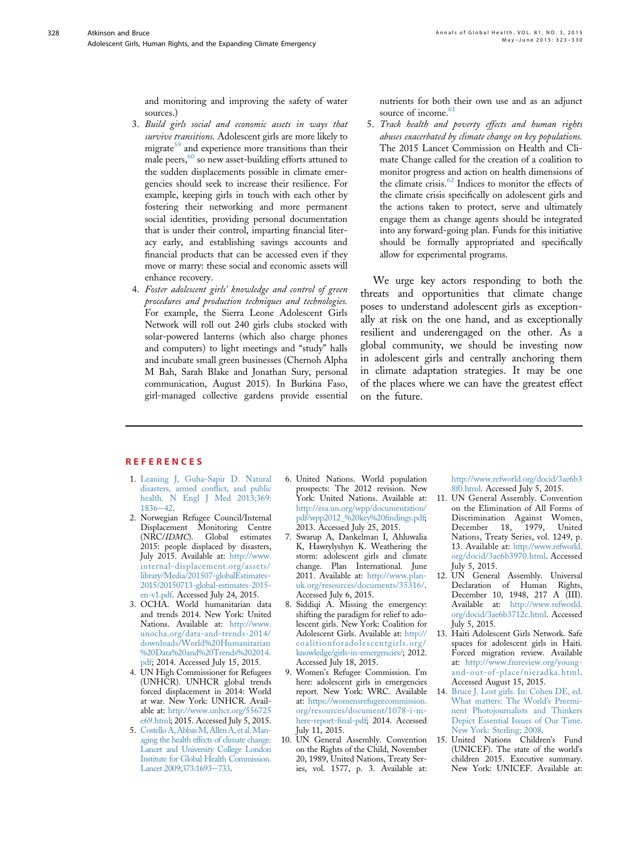<span id="page-5-0"></span>and monitoring and improving the safety of water sources.)

- 3. Build girls social and economic assets in ways that survive transitions. Adolescent girls are more likely to migrate<sup>[59](#page-7-0)</sup> and experience more transitions than their male peers,  $60$  so new asset-building efforts attuned to the sudden displacements possible in climate emergencies should seek to increase their resilience. For example, keeping girls in touch with each other by fostering their networking and more permanent social identities, providing personal documentation that is under their control, imparting financial literacy early, and establishing savings accounts and financial products that can be accessed even if they move or marry: these social and economic assets will enhance recovery.
- 4. Foster adolescent girls' knowledge and control of green procedures and production techniques and technologies. For example, the Sierra Leone Adolescent Girls Network will roll out 240 girls clubs stocked with solar-powered lanterns (which also charge phones and computers) to light meetings and "study" halls and incubate small green businesses (Chernoh Alpha M Bah, Sarah Blake and Jonathan Sury, personal communication, August 2015). In Burkina Faso, girl-managed collective gardens provide essential

nutrients for both their own use and as an adjunct source of income.<sup>[61](#page-7-0)</sup>

5. Track health and poverty effects and human rights abuses exacerbated by climate change on key populations. The 2015 Lancet Commission on Health and Climate Change called for the creation of a coalition to monitor progress and action on health dimensions of the climate crisis.<sup>[62](#page-7-0)</sup> Indices to monitor the effects of the climate crisis specifically on adolescent girls and the actions taken to protect, serve and ultimately engage them as change agents should be integrated into any forward-going plan. Funds for this initiative should be formally appropriated and specifically allow for experimental programs.

We urge key actors responding to both the threats and opportunities that climate change poses to understand adolescent girls as exceptionally at risk on the one hand, and as exceptionally resilient and underengaged on the other. As a global community, we should be investing now in adolescent girls and centrally anchoring them in climate adaptation strategies. It may be one of the places where we can have the greatest effect on the future.

### **REFERENCES**

- 1. [Leaning J, Guha-Sapir D. Natural](http://refhub.elsevier.com/S2214-9996(15)01219-9/sref1) [disasters, armed con](http://refhub.elsevier.com/S2214-9996(15)01219-9/sref1)flict, and public [health. N Engl J Med 2013;369:](http://refhub.elsevier.com/S2214-9996(15)01219-9/sref1)  $1836 - 42.$  $1836 - 42.$  $1836 - 42.$  $1836 - 42.$
- 2. Norwegian Refugee Council/Internal Displacement Monitoring Centre (NRC/IDMC). Global estimates 2015: people displaced by disasters, July 2015. Available at: [http://www.](http://www.internal-displacement.org/assets/library/Media/201507-globalEstimates-2015/20150713-global-estimates-2015-en-v1.pdf) [internal-displacement.org/assets/](http://www.internal-displacement.org/assets/library/Media/201507-globalEstimates-2015/20150713-global-estimates-2015-en-v1.pdf) [library/Media/201507-globalEstimates-](http://www.internal-displacement.org/assets/library/Media/201507-globalEstimates-2015/20150713-global-estimates-2015-en-v1.pdf)[2015/20150713-global-estimates-2015](http://www.internal-displacement.org/assets/library/Media/201507-globalEstimates-2015/20150713-global-estimates-2015-en-v1.pdf) [en-v1.pdf.](http://www.internal-displacement.org/assets/library/Media/201507-globalEstimates-2015/20150713-global-estimates-2015-en-v1.pdf) Accessed July 24, 2015.
- 3. OCHA. World humanitarian data and trends 2014. New York: United Nations. Available at: [http://www.](http://www.unocha.org/data-and-trends-2014/downloads/World%20Humanitarian%20Data%20and%20Trends%202014.pdf) [unocha.org/data-and-trends-2014/](http://www.unocha.org/data-and-trends-2014/downloads/World%20Humanitarian%20Data%20and%20Trends%202014.pdf) [downloads/World%20Humanitarian](http://www.unocha.org/data-and-trends-2014/downloads/World%20Humanitarian%20Data%20and%20Trends%202014.pdf) [%20Data%20and%20Trends%202014.](http://www.unocha.org/data-and-trends-2014/downloads/World%20Humanitarian%20Data%20and%20Trends%202014.pdf) odf; 2014. Accessed July 15, 2015.
- 4. UN High Commissioner for Refugees (UNHCR). UNHCR global trends forced displacement in 2014: World at war. New York: UNHCR. Available at: [http://www.unhcr.org/556725](http://www.unhcr.org/556725e69.html) [e69.html](http://www.unhcr.org/556725e69.html); 2015. Accessed July 5, 2015.
- 5. [CostelloA,AbbasM,Allen A, et al.Man](http://refhub.elsevier.com/S2214-9996(15)01219-9/sref5)[aging the health effects of climate change:](http://refhub.elsevier.com/S2214-9996(15)01219-9/sref5) [Lancet and University College London](http://refhub.elsevier.com/S2214-9996(15)01219-9/sref5) [Institute for Global Health Commission.](http://refhub.elsevier.com/S2214-9996(15)01219-9/sref5) [Lancet 2009;373:1693](http://refhub.elsevier.com/S2214-9996(15)01219-9/sref5)-[733.](http://refhub.elsevier.com/S2214-9996(15)01219-9/sref5)
- 6. United Nations. World population prospects: The 2012 revision. New York: United Nations. Available at: [http://esa.un.org/wpp/documentation/](http://esa.un.org/wpp/documentation/pdf/wpp2012_%20key%20findings.pdf) [pdf/wpp2012\\_%20key%20](http://esa.un.org/wpp/documentation/pdf/wpp2012_%20key%20findings.pdf)findings.pdf; 2013. Accessed July 25, 2015.
- 7. Swarup A, Dankelman I, Ahluwalia K, Hawrylyshyn K. Weathering the storm: adolescent girls and climate change. Plan International. June 2011. Available at: [http://www.plan](http://www.plan-uk.org/resources/documents/35316/)[uk.org/resources/documents/35316/](http://www.plan-uk.org/resources/documents/35316/). Accessed July 6, 2015.
- 8. Siddiqi A. Missing the emergency: shifting the paradigm for relief to adolescent girls. New York: Coalition for Adolescent Girls. Available at: [http://](http://coalitionforadolescentgirls.org/knowledge/girls-in-emergencies/) [coalitionforadolescentgirls.org/](http://coalitionforadolescentgirls.org/knowledge/girls-in-emergencies/) [knowledge/girls-in-emergencies/;](http://coalitionforadolescentgirls.org/knowledge/girls-in-emergencies/) 2012. Accessed July 18, 2015.
- 9. Women's Refugee Commission. I'm here: adolescent girls in emergencies report. New York: WRC. Available at: [https://womensrefugeecommission.](https://womensrefugeecommission.org/resources/document/1078-i-m-here-report-final-pdf) [org/resources/document/1078-i-m](https://womensrefugeecommission.org/resources/document/1078-i-m-here-report-final-pdf)[here-report-](https://womensrefugeecommission.org/resources/document/1078-i-m-here-report-final-pdf)final-pdf; 2014. Accessed July 11, 2015.
- 10. UN General Assembly. Convention on the Rights of the Child, November 20, 1989, United Nations, Treaty Series, vol. 1577, p. 3. Available at:

[http://www.refworld.org/docid/3ae6b3](http://www.refworld.org/docid/3ae6b38f0.html) [8f0.html](http://www.refworld.org/docid/3ae6b38f0.html). Accessed July 5, 2015.

- 11. UN General Assembly. Convention on the Elimination of All Forms of Discrimination Against Women, December 18, 1979, United Nations, Treaty Series, vol. 1249, p. 13. Available at: [http://www.refworld.](http://www.refworld.org/docid/3ae6b3970.html) [org/docid/3ae6b3970.html](http://www.refworld.org/docid/3ae6b3970.html). Accessed July 5, 2015.
- 12. UN General Assembly. Universal Declaration of Human Rights, December 10, 1948, 217 A (III). Available at: [http://www.refworld.](http://www.refworld.org/docid/3ae6b3712c.html) [org/docid/3ae6b3712c.html](http://www.refworld.org/docid/3ae6b3712c.html). Accessed July 5, 2015.
- 13. Haiti Adolescent Girls Network. Safe spaces for adolescent girls in Haiti. Forced migration review. Available at: [http://www.fmreview.org/young](http://www.fmreview.org/young-and-out-of-place/nieradka.html)[and-out-of-place/nieradka.html.](http://www.fmreview.org/young-and-out-of-place/nieradka.html) Accessed August 15, 2015.
- 14. [Bruce J. Lost girls. In: Cohen DE, ed.](http://refhub.elsevier.com/S2214-9996(15)01219-9/sref14) [What matters: The World](http://refhub.elsevier.com/S2214-9996(15)01219-9/sref14)'s Preemi[nent Photojournalists and Thinkers](http://refhub.elsevier.com/S2214-9996(15)01219-9/sref14) [Depict Essential Issues of Our Time.](http://refhub.elsevier.com/S2214-9996(15)01219-9/sref14) [New York: Sterling; 2008.](http://refhub.elsevier.com/S2214-9996(15)01219-9/sref14)
- 15. United Nations Children's Fund (UNICEF). The state of the world's children 2015. Executive summary. New York: UNICEF. Available at: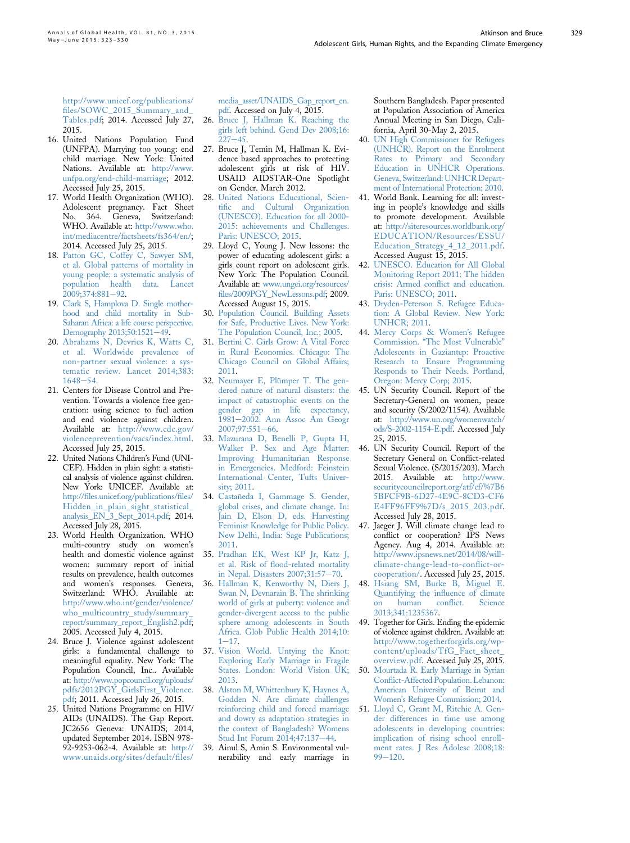329

<span id="page-6-0"></span>[http://www.unicef.org/publications/](http://www.unicef.org/publications/files/SOWC_2015_Summary_and_Tables.pdf) files/SOWC\_2015\_Summary\_and [Tables.pdf;](http://www.unicef.org/publications/files/SOWC_2015_Summary_and_Tables.pdf) 2014. Accessed July 27, 2015.

- 16. United Nations Population Fund (UNFPA). Marrying too young: end child marriage. New York: United Nations. Available at: [http://www.](http://www.unfpa.org/end-child-marriage) [unfpa.org/end-child-marriage;](http://www.unfpa.org/end-child-marriage) 2012. Accessed July 25, 2015.
- 17. World Health Organization (WHO). Adolescent pregnancy. Fact Sheet No. 364. Geneva, Switzerland: WHO. Available at: [http://www.who.](http://www.who.int/mediacentre/factsheets/fs364/en/) [int/mediacentre/factsheets/fs364/en/;](http://www.who.int/mediacentre/factsheets/fs364/en/) 2014. Accessed July 25, 2015.
- 18. [Patton GC, Coffey C, Sawyer SM,](http://refhub.elsevier.com/S2214-9996(15)01219-9/sref18) [et al. Global patterns of mortality in](http://refhub.elsevier.com/S2214-9996(15)01219-9/sref18) [young people: a systematic analysis of](http://refhub.elsevier.com/S2214-9996(15)01219-9/sref18) [population health data. Lancet](http://refhub.elsevier.com/S2214-9996(15)01219-9/sref18) [2009;374:881](http://refhub.elsevier.com/S2214-9996(15)01219-9/sref18)-[92.](http://refhub.elsevier.com/S2214-9996(15)01219-9/sref18)
- 19. [Clark S, Hamplova D. Single mother](http://refhub.elsevier.com/S2214-9996(15)01219-9/sref19)[hood and child mortality in Sub-](http://refhub.elsevier.com/S2214-9996(15)01219-9/sref19)[Saharan Africa: a life course perspective.](http://refhub.elsevier.com/S2214-9996(15)01219-9/sref19) [Demography 2013;50:1521](http://refhub.elsevier.com/S2214-9996(15)01219-9/sref19)-[49](http://refhub.elsevier.com/S2214-9996(15)01219-9/sref19).
- 20. [Abrahams N, Devries K, Watts C,](http://refhub.elsevier.com/S2214-9996(15)01219-9/sref20) [et al. Worldwide prevalence of](http://refhub.elsevier.com/S2214-9996(15)01219-9/sref20) [non-partner sexual violence: a sys](http://refhub.elsevier.com/S2214-9996(15)01219-9/sref20)[tematic review. Lancet 2014;383:](http://refhub.elsevier.com/S2214-9996(15)01219-9/sref20)  $1648 - 54$  $1648 - 54$  $1648 - 54$ .
- 21. Centers for Disease Control and Prevention. Towards a violence free generation: using science to fuel action and end violence against children. Available at: [http://www.cdc.gov/](http://www.cdc.gov/violenceprevention/vacs/index.html) [violenceprevention/vacs/index.html.](http://www.cdc.gov/violenceprevention/vacs/index.html) Accessed July 25, 2015.
- 22. United Nations Children's Fund (UNI-CEF). Hidden in plain sight: a statistical analysis of violence against children. New York: UNICEF. Available at: http://fi[les.unicef.org/publications/](http://files.unicef.org/publications/files/Hidden_in_plain_sight_statistical_analysis_EN_3_Sept_2014.pdf)files/ [Hidden\\_in\\_plain\\_sight\\_statistical\\_](http://files.unicef.org/publications/files/Hidden_in_plain_sight_statistical_analysis_EN_3_Sept_2014.pdf) [analysis\\_EN\\_3\\_Sept\\_2014.pdf](http://files.unicef.org/publications/files/Hidden_in_plain_sight_statistical_analysis_EN_3_Sept_2014.pdf); 2014. Accessed July 28, 2015.
- 23. World Health Organization. WHO multi-country study on women's health and domestic violence against women: summary report of initial results on prevalence, health outcomes and women's responses. Geneva, Switzerland: WHO. Available at: [http://www.who.int/gender/violence/](http://www.who.int/gender/violence/who_multicountry_study/summary_report/summary_report_English2.pdf) [who\\_multicountry\\_study/summary\\_](http://www.who.int/gender/violence/who_multicountry_study/summary_report/summary_report_English2.pdf) [report/summary\\_report\\_English2.pdf;](http://www.who.int/gender/violence/who_multicountry_study/summary_report/summary_report_English2.pdf) 2005. Accessed July 4, 2015.
- 24. Bruce J. Violence against adolescent girls: a fundamental challenge to meaningful equality. New York: The Population Council, Inc.. Available at: [http://www.popcouncil.org/uploads/](http://www.popcouncil.org/uploads/pdfs/2012PGY_GirlsFirst_Violence.pdf) [pdfs/2012PGY\\_GirlsFirst\\_Violence.](http://www.popcouncil.org/uploads/pdfs/2012PGY_GirlsFirst_Violence.pdf) [pdf](http://www.popcouncil.org/uploads/pdfs/2012PGY_GirlsFirst_Violence.pdf); 2011. Accessed July 26, 2015.
- 25. United Nations Programme on HIV/ AIDs (UNAIDS). The Gap Report. JC2656 Geneva: UNAIDS; 2014, updated September 2014. ISBN 978- 92-9253-062-4. Available at: [http://](http://www.unaids.org/sites/default/files/media_asset/UNAIDS_Gap_report_en.pdf) [www.unaids.org/sites/default/](http://www.unaids.org/sites/default/files/media_asset/UNAIDS_Gap_report_en.pdf)files/

[media\\_asset/UNAIDS\\_Gap\\_report\\_en.](http://www.unaids.org/sites/default/files/media_asset/UNAIDS_Gap_report_en.pdf) [pdf.](http://www.unaids.org/sites/default/files/media_asset/UNAIDS_Gap_report_en.pdf) Accessed on July 4, 2015.

- 26. [Bruce J, Hallman K. Reaching the](http://refhub.elsevier.com/S2214-9996(15)01219-9/sref26) [girls left behind. Gend Dev 2008;16:](http://refhub.elsevier.com/S2214-9996(15)01219-9/sref26)  $227 - 45$  $227 - 45$
- 27. Bruce J, Temin M, Hallman K. Evidence based approaches to protecting adolescent girls at risk of HIV. USAID AIDSTAR-One Spotlight on Gender. March 2012.
- 28. [United Nations Educational, Scien](http://refhub.elsevier.com/S2214-9996(15)01219-9/sref28)tifi[c and Cultural Organization](http://refhub.elsevier.com/S2214-9996(15)01219-9/sref28) [\(UNESCO\). Education for all 2000-](http://refhub.elsevier.com/S2214-9996(15)01219-9/sref28) [2015: achievements and Challenges.](http://refhub.elsevier.com/S2214-9996(15)01219-9/sref28) [Paris: UNESCO; 2015.](http://refhub.elsevier.com/S2214-9996(15)01219-9/sref28)
- 29. Lloyd C, Young J. New lessons: the power of educating adolescent girls: a girls count report on adolescent girls. New York: The Population Council. Available at: [www.ungei.org/resources/](http://www.ungei.org/resources/files/2009PGY_NewLessons.pdf) fi[les/2009PGY\\_NewLessons.pdf](http://www.ungei.org/resources/files/2009PGY_NewLessons.pdf); 2009. Accessed August 15, 2015.
- 30. [Population Council. Building Assets](http://refhub.elsevier.com/S2214-9996(15)01219-9/sref30) [for Safe, Productive Lives. New York:](http://refhub.elsevier.com/S2214-9996(15)01219-9/sref30) [The Population Council, Inc.; 2005](http://refhub.elsevier.com/S2214-9996(15)01219-9/sref30).
- 31. [Bertini C. Girls Grow: A Vital Force](http://refhub.elsevier.com/S2214-9996(15)01219-9/sref31) [in Rural Economics. Chicago: The](http://refhub.elsevier.com/S2214-9996(15)01219-9/sref31) [Chicago Council on Global Affairs;](http://refhub.elsevier.com/S2214-9996(15)01219-9/sref31) [2011.](http://refhub.elsevier.com/S2214-9996(15)01219-9/sref31)
- 32. [Neumayer E, Plümper T. The gen](http://refhub.elsevier.com/S2214-9996(15)01219-9/sref32)[dered nature of natural disasters: the](http://refhub.elsevier.com/S2214-9996(15)01219-9/sref32) [impact of catastrophic events on the](http://refhub.elsevier.com/S2214-9996(15)01219-9/sref32) [gender gap in life expectancy,](http://refhub.elsevier.com/S2214-9996(15)01219-9/sref32) [1981](http://refhub.elsevier.com/S2214-9996(15)01219-9/sref32)-[2002. Ann Assoc Am Geogr](http://refhub.elsevier.com/S2214-9996(15)01219-9/sref32) [2007;97:551](http://refhub.elsevier.com/S2214-9996(15)01219-9/sref32)-[66](http://refhub.elsevier.com/S2214-9996(15)01219-9/sref32).
- 33. [Mazurana D, Benelli P, Gupta H,](http://refhub.elsevier.com/S2214-9996(15)01219-9/sref33) [Walker P. Sex and Age Matter:](http://refhub.elsevier.com/S2214-9996(15)01219-9/sref33) [Improving Humanitarian Response](http://refhub.elsevier.com/S2214-9996(15)01219-9/sref33) [in Emergencies. Medford: Feinstein](http://refhub.elsevier.com/S2214-9996(15)01219-9/sref33) [International Center, Tufts Univer](http://refhub.elsevier.com/S2214-9996(15)01219-9/sref33)[sity; 2011](http://refhub.elsevier.com/S2214-9996(15)01219-9/sref33).
- 34. [Castañeda I, Gammage S. Gender,](http://refhub.elsevier.com/S2214-9996(15)01219-9/sref34) [global crises, and climate change. In:](http://refhub.elsevier.com/S2214-9996(15)01219-9/sref34) [Jain D, Elson D, eds. Harvesting](http://refhub.elsevier.com/S2214-9996(15)01219-9/sref34) [Feminist Knowledge for Public Policy.](http://refhub.elsevier.com/S2214-9996(15)01219-9/sref34) [New Delhi, India: Sage Publications;](http://refhub.elsevier.com/S2214-9996(15)01219-9/sref34) [2011.](http://refhub.elsevier.com/S2214-9996(15)01219-9/sref34)
- 35. [Pradhan EK, West KP Jr, Katz J,](http://refhub.elsevier.com/S2214-9996(15)01219-9/sref35) et al. Risk of fl[ood-related mortality](http://refhub.elsevier.com/S2214-9996(15)01219-9/sref35) in Nepal. Disasters  $2007;31:57-70$  $2007;31:57-70$ .
- 36. [Hallman K, Kenworthy N, Diers J,](http://refhub.elsevier.com/S2214-9996(15)01219-9/sref36) [Swan N, Devnarain B. The shrinking](http://refhub.elsevier.com/S2214-9996(15)01219-9/sref36) [world of girls at puberty: violence and](http://refhub.elsevier.com/S2214-9996(15)01219-9/sref36) [gender-divergent access to the public](http://refhub.elsevier.com/S2214-9996(15)01219-9/sref36) [sphere among adolescents in South](http://refhub.elsevier.com/S2214-9996(15)01219-9/sref36) [Africa. Glob Public Health 2014;10:](http://refhub.elsevier.com/S2214-9996(15)01219-9/sref36)  $1 - 17.$  $1 - 17.$  $1 - 17.$
- 37. [Vision World. Untying the Knot:](http://refhub.elsevier.com/S2214-9996(15)01219-9/sref37) [Exploring Early Marriage in Fragile](http://refhub.elsevier.com/S2214-9996(15)01219-9/sref37) [States. London: World Vision UK;](http://refhub.elsevier.com/S2214-9996(15)01219-9/sref37) [2013.](http://refhub.elsevier.com/S2214-9996(15)01219-9/sref37)
- 38. [Alston M, Whittenbury K, Haynes A,](http://refhub.elsevier.com/S2214-9996(15)01219-9/sref38) [Godden N. Are climate challenges](http://refhub.elsevier.com/S2214-9996(15)01219-9/sref38) [reinforcing child and forced marriage](http://refhub.elsevier.com/S2214-9996(15)01219-9/sref38) [and dowry as adaptation strategies in](http://refhub.elsevier.com/S2214-9996(15)01219-9/sref38) [the context of Bangladesh? Womens](http://refhub.elsevier.com/S2214-9996(15)01219-9/sref38) [Stud Int Forum 2014;47:137](http://refhub.elsevier.com/S2214-9996(15)01219-9/sref38)-[44](http://refhub.elsevier.com/S2214-9996(15)01219-9/sref38).
- 39. Ainul S, Amin S. Environmental vulnerability and early marriage in

Southern Bangladesh. Paper presented at Population Association of America Annual Meeting in San Diego, California, April 30-May 2, 2015.

- 40. [UN High Commissioner for Refugees](http://refhub.elsevier.com/S2214-9996(15)01219-9/sref40) [\(UNHCR\). Report on the Enrolment](http://refhub.elsevier.com/S2214-9996(15)01219-9/sref40) [Rates to Primary and Secondary](http://refhub.elsevier.com/S2214-9996(15)01219-9/sref40) [Education in UNHCR Operations.](http://refhub.elsevier.com/S2214-9996(15)01219-9/sref40) [Geneva, Switzerland: UNHCR Depart](http://refhub.elsevier.com/S2214-9996(15)01219-9/sref40)[ment of International Protection; 2010.](http://refhub.elsevier.com/S2214-9996(15)01219-9/sref40)
- 41. World Bank. Learning for all: investing in people's knowledge and skills to promote development. Available at: [http://siteresources.worldbank.org/](http://siteresources.worldbank.org/EDUCATION/Resources/ESSU/Education_Strategy_4_12_2011.pdf) [EDUCATION/Resources/ESSU/](http://siteresources.worldbank.org/EDUCATION/Resources/ESSU/Education_Strategy_4_12_2011.pdf) [Education\\_Strategy\\_4\\_12\\_2011.pdf.](http://siteresources.worldbank.org/EDUCATION/Resources/ESSU/Education_Strategy_4_12_2011.pdf) Accessed August 15, 2015.
- 42. [UNESCO. Education for All Global](http://refhub.elsevier.com/S2214-9996(15)01219-9/sref42) [Monitoring Report 2011: The hidden](http://refhub.elsevier.com/S2214-9996(15)01219-9/sref42) crisis: Armed confl[ict and education.](http://refhub.elsevier.com/S2214-9996(15)01219-9/sref42) [Paris: UNESCO; 2011](http://refhub.elsevier.com/S2214-9996(15)01219-9/sref42).
- 43. [Dryden-Peterson S. Refugee Educa](http://refhub.elsevier.com/S2214-9996(15)01219-9/sref43)[tion: A Global Review. New York:](http://refhub.elsevier.com/S2214-9996(15)01219-9/sref43) [UNHCR; 2011.](http://refhub.elsevier.com/S2214-9996(15)01219-9/sref43)
- 44. [Mercy Corps & Women](http://refhub.elsevier.com/S2214-9996(15)01219-9/sref44)'s Refugee Commission. "[The Most Vulnerable](http://refhub.elsevier.com/S2214-9996(15)01219-9/sref44)" [Adolescents in Gaziantep: Proactive](http://refhub.elsevier.com/S2214-9996(15)01219-9/sref44) [Research to Ensure Programming](http://refhub.elsevier.com/S2214-9996(15)01219-9/sref44) [Responds to Their Needs. Portland,](http://refhub.elsevier.com/S2214-9996(15)01219-9/sref44) [Oregon: Mercy Corp; 2015](http://refhub.elsevier.com/S2214-9996(15)01219-9/sref44).
- 45. UN Security Council. Report of the Secretary-General on women, peace and security (S/2002/1154). Available at: [http://www.un.org/womenwatch/](http://www.un.org/womenwatch/ods/S-2002-1154-E.pdf) [ods/S-2002-1154-E.pdf](http://www.un.org/womenwatch/ods/S-2002-1154-E.pdf). Accessed July 25, 2015.
- 46. UN Security Council. Report of the Secretary General on Conflict-related Sexual Violence. (S/2015/203). March 2015. Available at: [http://www.](http://www.securitycouncilreport.org/atf/cf/%7B65BFCF9B-6D27-4E9C-8CD3-CF6E4FF96FF9%7D/s_2015_203.pdf) [securitycouncilreport.org/atf/cf/%7B6](http://www.securitycouncilreport.org/atf/cf/%7B65BFCF9B-6D27-4E9C-8CD3-CF6E4FF96FF9%7D/s_2015_203.pdf) [5BFCF9B-6D27-4E9C-8CD3-CF6](http://www.securitycouncilreport.org/atf/cf/%7B65BFCF9B-6D27-4E9C-8CD3-CF6E4FF96FF9%7D/s_2015_203.pdf) [E4FF96FF9%7D/s\\_2015\\_203.pdf.](http://www.securitycouncilreport.org/atf/cf/%7B65BFCF9B-6D27-4E9C-8CD3-CF6E4FF96FF9%7D/s_2015_203.pdf) Accessed July 28, 2015.
- 47. Jaeger J. Will climate change lead to conflict or cooperation? IPS News Agency. Aug 4, 2014. Available at: [http://www.ipsnews.net/2014/08/will](http://www.ipsnews.net/2014/08/will-climate-change-lead-to-conflict-or-cooperation/)[climate-change-lead-to-con](http://www.ipsnews.net/2014/08/will-climate-change-lead-to-conflict-or-cooperation/)flict-or[cooperation/.](http://www.ipsnews.net/2014/08/will-climate-change-lead-to-conflict-or-cooperation/) Accessed July 25, 2015.
- 48. [Hsiang SM, Burke B, Miguel E.](http://refhub.elsevier.com/S2214-9996(15)01219-9/sref48) [Quantifying the in](http://refhub.elsevier.com/S2214-9996(15)01219-9/sref48)fluence of climate<br>on human conflict. Science [on human con](http://refhub.elsevier.com/S2214-9996(15)01219-9/sref48)flict. [2013;341:1235367.](http://refhub.elsevier.com/S2214-9996(15)01219-9/sref48)
- 49. Together for Girls. Ending the epidemic of violence against children. Available at: [http://www.togetherforgirls.org/wp](http://www.togetherforgirls.org/wp-content/uploads/TfG_Fact_sheet_overview.pdf)content/uploads/TfG\_Fact\_sheet [overview.pdf.](http://www.togetherforgirls.org/wp-content/uploads/TfG_Fact_sheet_overview.pdf) Accessed July 25, 2015.
- 50. [Mourtada R. Early Marriage in Syrian](http://refhub.elsevier.com/S2214-9996(15)01219-9/sref50) Confl[ict-Affected Population.Lebanon:](http://refhub.elsevier.com/S2214-9996(15)01219-9/sref50) [American University of Beirut and](http://refhub.elsevier.com/S2214-9996(15)01219-9/sref50) Women'[s Refugee Commission; 2014.](http://refhub.elsevier.com/S2214-9996(15)01219-9/sref50)
- 51. [Lloyd C, Grant M, Ritchie A. Gen](http://refhub.elsevier.com/S2214-9996(15)01219-9/sref51)[der differences in time use among](http://refhub.elsevier.com/S2214-9996(15)01219-9/sref51) [adolescents in developing countries:](http://refhub.elsevier.com/S2214-9996(15)01219-9/sref51) [implication of rising school enroll](http://refhub.elsevier.com/S2214-9996(15)01219-9/sref51)[ment rates. J Res Adolesc 2008;18:](http://refhub.elsevier.com/S2214-9996(15)01219-9/sref51)  $99 - 120.$  $99 - 120.$  $99 - 120.$  $99 - 120.$